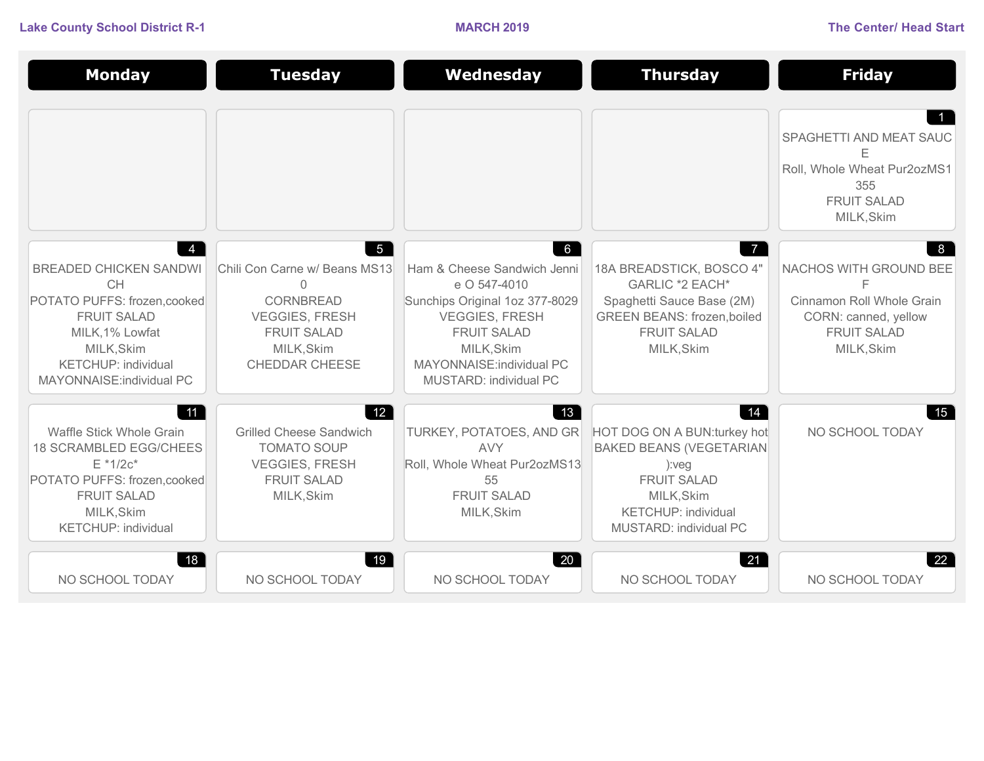**Lake County School District R-1 MARCH 2019 The Center/ Head Start**

| <b>Monday</b>                                                                                                                                                                                | <b>Tuesday</b>                                                                                                                                                      | Wednesday                                                                                                                                                                                                     | <b>Thursday</b>                                                                                                                                                           | <b>Friday</b>                                                                                                        |
|----------------------------------------------------------------------------------------------------------------------------------------------------------------------------------------------|---------------------------------------------------------------------------------------------------------------------------------------------------------------------|---------------------------------------------------------------------------------------------------------------------------------------------------------------------------------------------------------------|---------------------------------------------------------------------------------------------------------------------------------------------------------------------------|----------------------------------------------------------------------------------------------------------------------|
|                                                                                                                                                                                              |                                                                                                                                                                     |                                                                                                                                                                                                               |                                                                                                                                                                           | SPAGHETTI AND MEAT SAUC<br>Е<br>Roll, Whole Wheat Pur2ozMS1<br>355<br><b>FRUIT SALAD</b><br>MILK, Skim               |
| <b>BREADED CHICKEN SANDWI</b><br><b>CH</b><br>POTATO PUFFS: frozen, cooked<br><b>FRUIT SALAD</b><br>MILK, 1% Lowfat<br>MILK, Skim<br><b>KETCHUP: individual</b><br>MAYONNAISE: individual PC | $5\overline{5}$<br>Chili Con Carne w/ Beans MS13<br>$\mathbf{0}$<br>CORNBREAD<br><b>VEGGIES, FRESH</b><br><b>FRUIT SALAD</b><br>MILK, Skim<br><b>CHEDDAR CHEESE</b> | 6<br>Ham & Cheese Sandwich Jenni<br>e O 547-4010<br>Sunchips Original 1oz 377-8029<br><b>VEGGIES, FRESH</b><br><b>FRUIT SALAD</b><br>MILK, Skim<br>MAYONNAISE: individual PC<br><b>MUSTARD: individual PC</b> | $\overline{7}$<br>18A BREADSTICK, BOSCO 4"<br>GARLIC *2 EACH*<br>Spaghetti Sauce Base (2M)<br><b>GREEN BEANS: frozen,boiled</b><br><b>FRUIT SALAD</b><br>MILK, Skim       | 8<br>NACHOS WITH GROUND BEE<br>Cinnamon Roll Whole Grain<br>CORN: canned, yellow<br><b>FRUIT SALAD</b><br>MILK, Skim |
| 11<br>Waffle Stick Whole Grain<br><b>18 SCRAMBLED EGG/CHEES</b><br>$E * 1/2c*$<br>POTATO PUFFS: frozen, cooked<br><b>FRUIT SALAD</b><br>MILK, Skim<br><b>KETCHUP: individual</b>             | 12<br><b>Grilled Cheese Sandwich</b><br><b>TOMATO SOUP</b><br><b>VEGGIES, FRESH</b><br><b>FRUIT SALAD</b><br>MILK, Skim                                             | 13<br>TURKEY, POTATOES, AND GR<br><b>AVY</b><br>Roll, Whole Wheat Pur2ozMS13<br>55<br><b>FRUIT SALAD</b><br>MILK, Skim                                                                                        | 14<br>HOT DOG ON A BUN: turkey hot<br><b>BAKED BEANS (VEGETARIAN</b><br>):veq<br><b>FRUIT SALAD</b><br>MILK, Skim<br><b>KETCHUP: individual</b><br>MUSTARD: individual PC | 15<br>NO SCHOOL TODAY                                                                                                |
| 18<br>NO SCHOOL TODAY                                                                                                                                                                        | 19 <sup>°</sup><br>NO SCHOOL TODAY                                                                                                                                  | $20^{\circ}$<br>NO SCHOOL TODAY                                                                                                                                                                               | 21<br>NO SCHOOL TODAY                                                                                                                                                     | 22<br>NO SCHOOL TODAY                                                                                                |